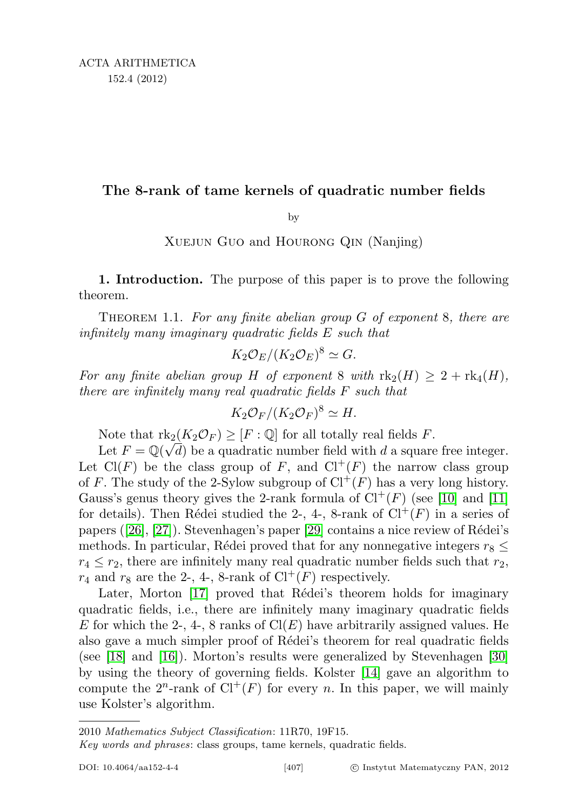## The 8-rank of tame kernels of quadratic number fields

by

XUEJUN GUO and HOURONG QIN (Nanjing)

1. Introduction. The purpose of this paper is to prove the following theorem.

THEOREM 1.1. For any finite abelian group  $G$  of exponent 8, there are infinitely many imaginary quadratic fields E such that

$$
K_2 \mathcal{O}_E/(K_2 \mathcal{O}_E)^8 \simeq G.
$$

For any finite abelian group H of exponent 8 with  $\text{rk}_2(H) \geq 2 + \text{rk}_4(H)$ , there are infinitely many real quadratic fields F such that

$$
K_2 \mathcal{O}_F/(K_2 \mathcal{O}_F)^8 \simeq H.
$$

Note that  $\text{rk}_2(K_2\mathcal{O}_F) \geq [F:\mathbb{Q}]$  for all totally real fields F.

Let  $F = \mathbb{Q}(\sqrt{d})$  be a quadratic number field with d a square free integer. Let  $Cl(F)$  be the class group of F, and  $Cl^+(F)$  the narrow class group of F. The study of the 2-Sylow subgroup of  $Cl^+(F)$  has a very long history. Gauss's genus theory gives the 2-rank formula of  $Cl^+(F)$  (see [\[10\]](#page-16-0) and [\[11\]](#page-16-1) for details). Then Rédei studied the 2-, 4-, 8-rank of  $Cl^+(F)$  in a series of papers  $(26, 27)$ . Stevenhagen's paper [\[29\]](#page-17-2) contains a nice review of Rédei's methods. In particular, Rédei proved that for any nonnegative integers  $r_8 \leq$  $r_4 \leq r_2$ , there are infinitely many real quadratic number fields such that  $r_2$ ,  $r_4$  and  $r_8$  are the 2-, 4-, 8-rank of  $Cl^+(F)$  respectively.

Later, Morton [\[17\]](#page-17-3) proved that Rédei's theorem holds for imaginary quadratic fields, i.e., there are infinitely many imaginary quadratic fields E for which the 2-, 4-, 8 ranks of  $Cl(E)$  have arbitrarily assigned values. He also gave a much simpler proof of Rédei's theorem for real quadratic fields (see [\[18\]](#page-17-4) and [\[16\]](#page-16-2)). Morton's results were generalized by Stevenhagen [\[30\]](#page-17-5) by using the theory of governing fields. Kolster [\[14\]](#page-16-3) gave an algorithm to compute the  $2^n$ -rank of  $Cl^+(F)$  for every n. In this paper, we will mainly use Kolster's algorithm.

<sup>2010</sup> Mathematics Subject Classification: 11R70, 19F15.

Key words and phrases: class groups, tame kernels, quadratic fields.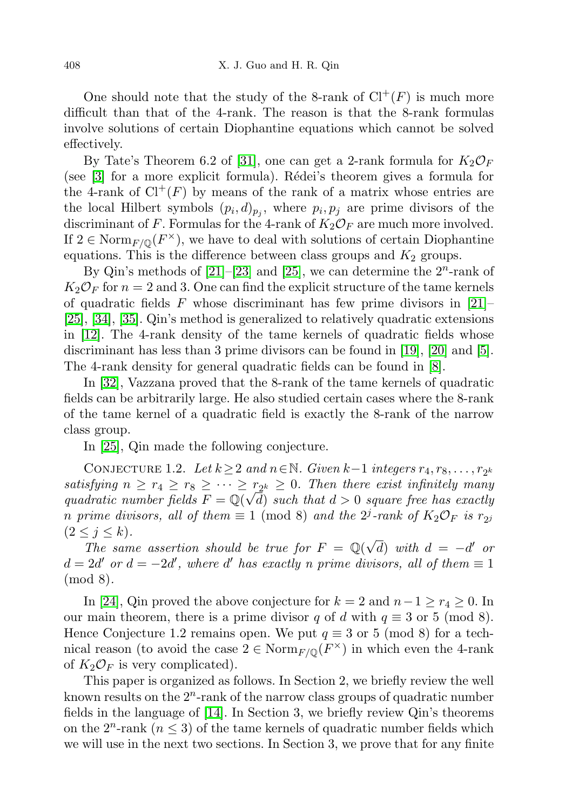One should note that the study of the 8-rank of  $Cl^+(F)$  is much more difficult than that of the 4-rank. The reason is that the 8-rank formulas involve solutions of certain Diophantine equations which cannot be solved effectively.

By Tate's Theorem 6.2 of [\[31\]](#page-17-6), one can get a 2-rank formula for  $K_2\mathcal{O}_F$ (see  $[3]$  for a more explicit formula). Rédei's theorem gives a formula for the 4-rank of  $Cl^+(F)$  by means of the rank of a matrix whose entries are the local Hilbert symbols  $(p_i, d)_{p_j}$ , where  $p_i, p_j$  are prime divisors of the discriminant of F. Formulas for the 4-rank of  $K_2\mathcal{O}_F$  are much more involved. If  $2 \in \text{Norm}_{F/\mathbb{Q}}(F^{\times})$ , we have to deal with solutions of certain Diophantine equations. This is the difference between class groups and  $K_2$  groups.

By Qin's methods of  $[21]$ - $[23]$  and  $[25]$ , we can determine the  $2^n$ -rank of  $K_2\mathcal{O}_F$  for  $n=2$  and 3. One can find the explicit structure of the tame kernels of quadratic fields F whose discriminant has few prime divisors in  $[21]$ [\[25\]](#page-17-9), [\[34\]](#page-17-10), [\[35\]](#page-17-11). Qin's method is generalized to relatively quadratic extensions in [\[12\]](#page-16-5). The 4-rank density of the tame kernels of quadratic fields whose discriminant has less than 3 prime divisors can be found in [\[19\]](#page-17-12), [\[20\]](#page-17-13) and [\[5\]](#page-16-6). The 4-rank density for general quadratic fields can be found in [\[8\]](#page-16-7).

In [\[32\]](#page-17-14), Vazzana proved that the 8-rank of the tame kernels of quadratic fields can be arbitrarily large. He also studied certain cases where the 8-rank of the tame kernel of a quadratic field is exactly the 8-rank of the narrow class group.

In [\[25\]](#page-17-9), Qin made the following conjecture.

CONJECTURE 1.2. Let  $k \geq 2$  and  $n \in \mathbb{N}$ . Given  $k-1$  integers  $r_4, r_8, \ldots, r_{2^k}$ satisfying  $n \geq r_4 \geq r_8 \geq \cdots \geq r_{2^k} \geq 0$ . Then there exist infinitely many quadratic number fields  $F = \mathbb{Q}(\sqrt{d})$  such that  $d > 0$  square free has exactly n prime divisors, all of them  $\equiv 1 \pmod{8}$  and the  $2^j$ -rank of  $K_2\mathcal{O}_F$  is  $r_{2^j}$  $(2 \leq j \leq k).$ 

 $\sum_{i=1}^{\infty}$   $S^{(i)}$   $\sum_{i=1}^{\infty}$   $S^{(i)}$   $\sum_{i=1}^{\infty}$   $S^{(i)}$   $\sum_{i=1}^{\infty}$   $S^{(i)}$   $\sum_{i=1}^{\infty}$   $S^{(i)}$   $\sum_{i=1}^{\infty}$   $S^{(i)}$   $\sum_{i=1}^{\infty}$   $S^{(i)}$   $\sum_{i=1}^{\infty}$   $S^{(i)}$   $\sum_{i=1}^{\infty}$   $S^{(i)}$   $\sum_{i=1}^{\infty}$  $\overline{d}$ ) with  $d = -d'$  or  $d = 2d'$  or  $d = -2d'$ , where d' has exactly n prime divisors, all of them  $\equiv 1$ (mod 8).

In [\[24\]](#page-17-15), Qin proved the above conjecture for  $k = 2$  and  $n - 1 \ge r_4 \ge 0$ . In our main theorem, there is a prime divisor q of d with  $q \equiv 3$  or 5 (mod 8). Hence Conjecture 1.2 remains open. We put  $q \equiv 3$  or 5 (mod 8) for a technical reason (to avoid the case  $2 \in \text{Norm}_{F/\mathbb{Q}}(F^{\times})$  in which even the 4-rank of  $K_2\mathcal{O}_F$  is very complicated).

This paper is organized as follows. In Section 2, we briefly review the well known results on the  $2^n$ -rank of the narrow class groups of quadratic number fields in the language of [\[14\]](#page-16-3). In Section 3, we briefly review Qin's theorems on the  $2^n$ -rank  $(n \leq 3)$  of the tame kernels of quadratic number fields which we will use in the next two sections. In Section 3, we prove that for any finite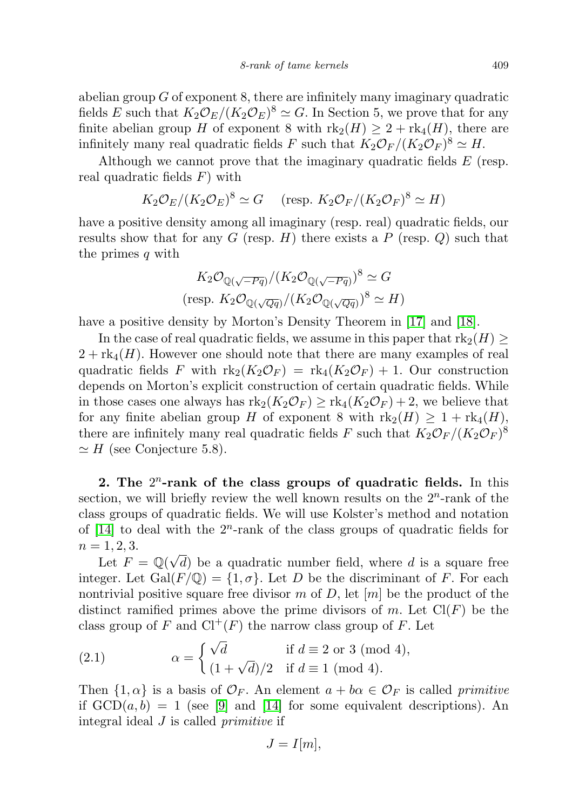abelian group  $G$  of exponent 8, there are infinitely many imaginary quadratic fields E such that  $K_2 \mathcal{O}_E/(K_2 \mathcal{O}_E)^8 \simeq G$ . In Section 5, we prove that for any finite abelian group H of exponent 8 with  $\text{rk}_2(H) \geq 2 + \text{rk}_4(H)$ , there are infinitely many real quadratic fields F such that  $K_2\mathcal{O}_F/(K_2\mathcal{O}_F)^8 \simeq H$ .

Although we cannot prove that the imaginary quadratic fields E (resp. real quadratic fields  $F$ ) with

$$
K_2\mathcal{O}_E/(K_2\mathcal{O}_E)^8 \simeq G
$$
 (resp.  $K_2\mathcal{O}_F/(K_2\mathcal{O}_F)^8 \simeq H$ )

have a positive density among all imaginary (resp. real) quadratic fields, our results show that for any G (resp. H) there exists a P (resp.  $Q$ ) such that the primes q with

$$
K_2 \mathcal{O}_{\mathbb{Q}(\sqrt{-Pq})}/(K_2 \mathcal{O}_{\mathbb{Q}(\sqrt{-Pq})})^8 \simeq G
$$
  
(resp.  $K_2 \mathcal{O}_{\mathbb{Q}(\sqrt{Qq})}/(K_2 \mathcal{O}_{\mathbb{Q}(\sqrt{Qq})})^8 \simeq H$ )

have a positive density by Morton's Density Theorem in [\[17\]](#page-17-3) and [\[18\]](#page-17-4).

In the case of real quadratic fields, we assume in this paper that  $\text{rk}_2(H)$  $2 + \text{rk}_{4}(H)$ . However one should note that there are many examples of real quadratic fields F with  $\text{rk}_2(K_2\mathcal{O}_F) = \text{rk}_4(K_2\mathcal{O}_F) + 1$ . Our construction depends on Morton's explicit construction of certain quadratic fields. While in those cases one always has  $\text{rk}_2(K_2\mathcal{O}_F) \geq \text{rk}_4(K_2\mathcal{O}_F) + 2$ , we believe that for any finite abelian group H of exponent 8 with  $\text{rk}_2(H) \geq 1 + \text{rk}_4(H)$ , there are infinitely many real quadratic fields F such that  $K_2\mathcal{O}_F/(K_2\mathcal{O}_F)^8$  $\simeq$  H (see Conjecture 5.8).

2. The  $2^n$ -rank of the class groups of quadratic fields. In this section, we will briefly review the well known results on the  $2<sup>n</sup>$ -rank of the class groups of quadratic fields. We will use Kolster's method and notation of  $[14]$  to deal with the  $2^n$ -rank of the class groups of quadratic fields for  $n = 1, 2, 3.$ 

 $\text{Let } F = \mathbb{Q}(\sqrt{2})$  $d$ ) be a quadratic number field, where  $d$  is a square free integer. Let Gal $(F/\mathbb{Q}) = \{1, \sigma\}$ . Let D be the discriminant of F. For each nontrivial positive square free divisor m of D, let  $[m]$  be the product of the distinct ramified primes above the prime divisors of m. Let  $Cl(F)$  be the class group of F and  $Cl^+(F)$  the narrow class group of F. Let

(2.1) 
$$
\alpha = \begin{cases} \sqrt{d} & \text{if } d \equiv 2 \text{ or } 3 \pmod{4}, \\ (1 + \sqrt{d})/2 & \text{if } d \equiv 1 \pmod{4}. \end{cases}
$$

Then  $\{1,\alpha\}$  is a basis of  $\mathcal{O}_F$ . An element  $a+b\alpha \in \mathcal{O}_F$  is called primitive if  $GCD(a, b) = 1$  (see [\[9\]](#page-16-8) and [\[14\]](#page-16-3) for some equivalent descriptions). An integral ideal J is called primitive if

$$
J=I[m],
$$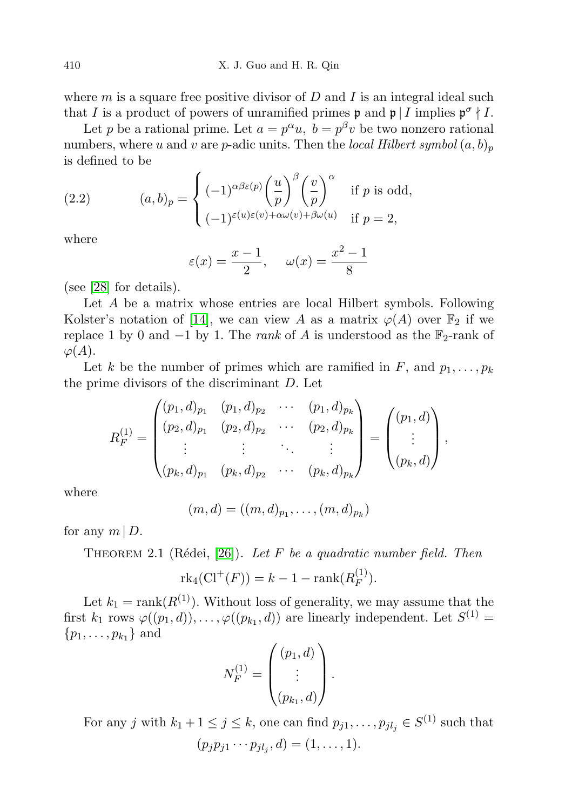410 X. J. Guo and H. R. Qin

where  $m$  is a square free positive divisor of  $D$  and  $I$  is an integral ideal such that I is a product of powers of unramified primes  $\mathfrak{p}$  and  $\mathfrak{p} \mid I$  implies  $\mathfrak{p}^{\sigma} \nmid I$ .

Let p be a rational prime. Let  $a = p^{\alpha}u$ ,  $b = p^{\beta}v$  be two nonzero rational numbers, where u and v are p-adic units. Then the local Hilbert symbol  $(a, b)_p$ is defined to be

(2.2) 
$$
(a,b)_p = \begin{cases} (-1)^{\alpha\beta\varepsilon(p)} \left(\frac{u}{p}\right)^{\beta} \left(\frac{v}{p}\right)^{\alpha} & \text{if } p \text{ is odd,} \\ (-1)^{\varepsilon(u)\varepsilon(v) + \alpha\omega(v) + \beta\omega(u)} & \text{if } p = 2, \end{cases}
$$

where

$$
\varepsilon(x) = \frac{x-1}{2}, \quad \omega(x) = \frac{x^2 - 1}{8}
$$

(see [\[28\]](#page-17-16) for details).

Let A be a matrix whose entries are local Hilbert symbols. Following Kolster's notation of [\[14\]](#page-16-3), we can view A as a matrix  $\varphi(A)$  over  $\mathbb{F}_2$  if we replace 1 by 0 and  $-1$  by 1. The *rank* of A is understood as the  $\mathbb{F}_2$ -rank of  $\varphi(A).$ 

Let k be the number of primes which are ramified in F, and  $p_1, \ldots, p_k$ the prime divisors of the discriminant D. Let

$$
R_F^{(1)} = \begin{pmatrix} (p_1, d)_{p_1} & (p_1, d)_{p_2} & \cdots & (p_1, d)_{p_k} \\ (p_2, d)_{p_1} & (p_2, d)_{p_2} & \cdots & (p_2, d)_{p_k} \\ \vdots & \vdots & \ddots & \vdots \\ (p_k, d)_{p_1} & (p_k, d)_{p_2} & \cdots & (p_k, d)_{p_k} \end{pmatrix} = \begin{pmatrix} (p_1, d) \\ \vdots \\ (p_k, d) \end{pmatrix},
$$

where

$$
(m, d) = ((m, d)_{p_1}, \ldots, (m, d)_{p_k})
$$

for any  $m \mid D$ .

THEOREM 2.1 (Rédei, [\[26\]](#page-17-0)). Let F be a quadratic number field. Then

$$
rk_4(\mathrm{Cl}^+(F)) = k - 1 - \mathrm{rank}(R_F^{(1)}).
$$

Let  $k_1 = \text{rank}(R^{(1)})$ . Without loss of generality, we may assume that the first  $k_1$  rows  $\varphi((p_1, d)), \ldots, \varphi((p_{k_1}, d))$  are linearly independent. Let  $S^{(1)}$  =  $\{p_1, \ldots, p_{k_1}\}\$ and

$$
N_F^{(1)} = \begin{pmatrix} (p_1, d) \\ \vdots \\ (p_{k_1}, d) \end{pmatrix}.
$$

For any j with  $k_1 + 1 \leq j \leq k$ , one can find  $p_{j1}, \ldots, p_{jl_j} \in S^{(1)}$  such that  $(p_j p_{j1} \cdots p_{jl_j}, d) = (1, \ldots, 1).$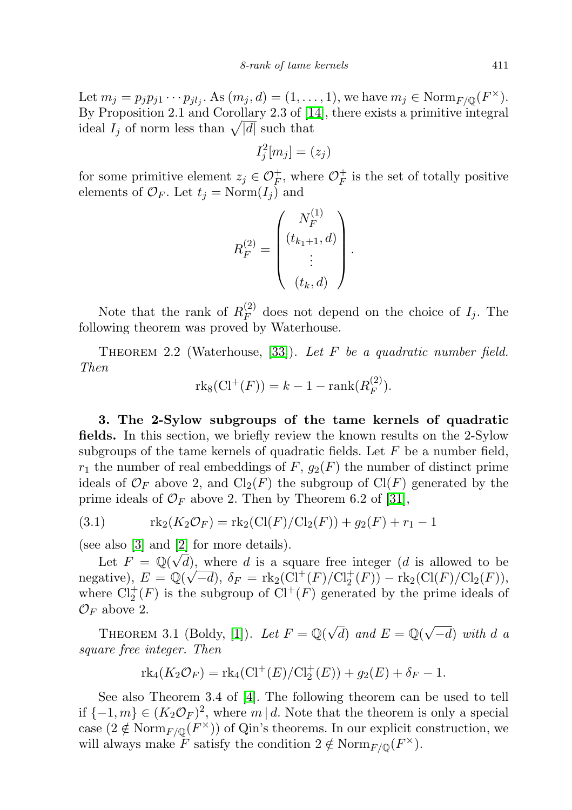Let  $m_j = p_j p_{j1} \cdots p_{jl_j}$ . As  $(m_j, d) = (1, \ldots, 1)$ , we have  $m_j \in \text{Norm}_{F/\mathbb{Q}}(F^{\times})$ . By Proposition 2.1 and Corollary 2.3 of [\[14\]](#page-16-3), there exists a primitive integral ideal  $I_j$  of norm less than  $\sqrt{|d|}$  such that

$$
I_j^2[m_j] = (z_j)
$$

for some primitive element  $z_j \in \mathcal{O}_F^+$ , where  $\mathcal{O}_F^+$  $\overline{F}$  is the set of totally positive elements of  $\mathcal{O}_F$ . Let  $t_j = \text{Norm}(I_j)$  and

$$
R_F^{(2)} = \begin{pmatrix} N_F^{(1)} \\ (t_{k_1+1}, d) \\ \vdots \\ (t_k, d) \end{pmatrix}.
$$

Note that the rank of  $R_F^{(2)}$  $E_F^{(2)}$  does not depend on the choice of  $I_j$ . The following theorem was proved by Waterhouse.

<span id="page-4-0"></span>THEOREM 2.2 (Waterhouse, [\[33\]](#page-17-17)). Let F be a quadratic number field. Then

$$
rk_8(\mathrm{Cl}^+(F)) = k - 1 - \mathrm{rank}(R_F^{(2)}).
$$

3. The 2-Sylow subgroups of the tame kernels of quadratic fields. In this section, we briefly review the known results on the 2-Sylow subgroups of the tame kernels of quadratic fields. Let  $F$  be a number field,  $r_1$  the number of real embeddings of F,  $g_2(F)$  the number of distinct prime ideals of  $\mathcal{O}_F$  above 2, and  $\text{Cl}_2(F)$  the subgroup of  $\text{Cl}(F)$  generated by the prime ideals of  $\mathcal{O}_F$  above 2. Then by Theorem 6.2 of [\[31\]](#page-17-6),

(3.1) 
$$
\text{rk}_2(K_2\mathcal{O}_F) = \text{rk}_2(\text{Cl}(F)/\text{Cl}_2(F)) + g_2(F) + r_1 - 1
$$

(see also [\[3\]](#page-16-4) and [\[2\]](#page-16-9) for more details).

Let  $F = \mathbb{Q}(\sqrt{d})$ , where d is a square free integer (d is allowed to be negative),  $E = \mathbb{Q}(\sqrt{-d}), \delta_F = \text{rk}_2(\text{Cl}^+(F)/\text{Cl}_2^+(F)) - \text{rk}_2(\text{Cl}(F)/\text{Cl}_2(F)),$ where  $Cl_2^+(F)$  is the subgroup of  $Cl^+(F)$  generated by the prime ideals of  $\mathcal{O}_F$  above 2.

<span id="page-4-1"></span>THEOREM 3.1 (Boldy, [\[1\]](#page-16-10)). Let  $F = \mathbb{Q}(\sqrt{d})$  and  $E = \mathbb{Q}(\sqrt{d})$  $(-d)$  with d a square free integer. Then

$$
rk_4(K_2\mathcal{O}_F) = rk_4(Cl^+(E)/Cl_2^+(E)) + g_2(E) + \delta_F - 1.
$$

See also Theorem 3.4 of [\[4\]](#page-16-11). The following theorem can be used to tell if  $\{-1, m\} \in (K_2 \mathcal{O}_F)^2$ , where  $m \mid d$ . Note that the theorem is only a special case  $(2 \notin \text{Norm}_{F/\mathbb{Q}}(F^{\times}))$  of Qin's theorems. In our explicit construction, we will always make F satisfy the condition  $2 \notin \text{Norm}_{F/\mathbb{Q}}(F^{\times}).$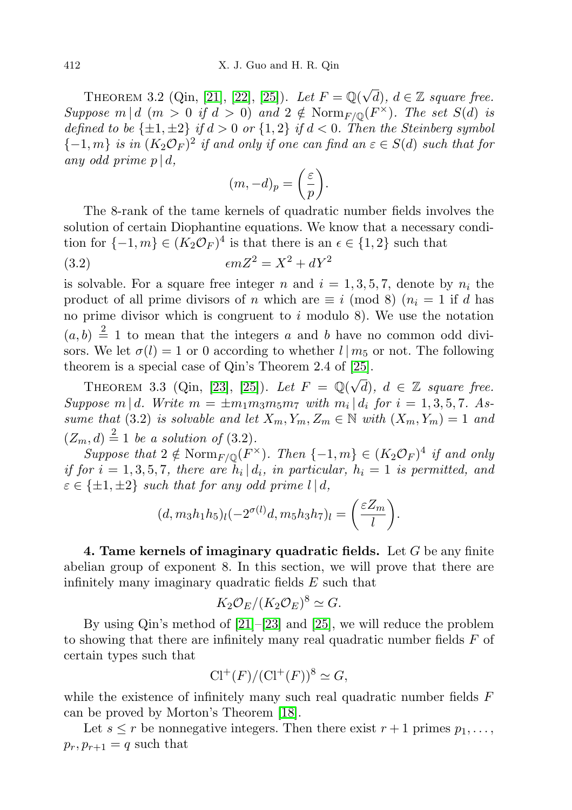<span id="page-5-0"></span>THEOREM 3.2 (Qin, [\[21\]](#page-17-7), [\[22\]](#page-17-18), [\[25\]](#page-17-9)). Let  $F = \mathbb{Q}(\sqrt{d})$ ,  $d \in \mathbb{Z}$  square free. Suppose  $m | d$   $(m > 0$  if  $d > 0)$  and  $2 \notin \text{Norm}_{F/\mathbb{Q}}(F^{\times})$ . The set  $S(d)$  is defined to be  $\{\pm 1, \pm 2\}$  if  $d > 0$  or  $\{1, 2\}$  if  $d < 0$ . Then the Steinberg symbol  ${-1,m}$  is in  $(K_2\mathcal{O}_F)^2$  if and only if one can find an  $\varepsilon \in S(d)$  such that for any odd prime  $p \mid d$ ,

$$
(m, -d)_p = \left(\frac{\varepsilon}{p}\right).
$$

The 8-rank of the tame kernels of quadratic number fields involves the solution of certain Diophantine equations. We know that a necessary condition for  $\{-1,m\} \in (K_2 \mathcal{O}_F)^4$  is that there is an  $\epsilon \in \{1,2\}$  such that

$$
(3.2) \qquad \epsilon m Z^2 = X^2 + dY^2
$$

is solvable. For a square free integer n and  $i = 1, 3, 5, 7$ , denote by  $n_i$  the product of all prime divisors of n which are  $\equiv i \pmod{8}$  ( $n<sub>i</sub> = 1$  if d has no prime divisor which is congruent to  $i$  modulo 8). We use the notation  $(a, b) \stackrel{?}{=} 1$  to mean that the integers a and b have no common odd divisors. We let  $\sigma(l) = 1$  or 0 according to whether  $l | m_5$  or not. The following theorem is a special case of Qin's Theorem 2.4 of [\[25\]](#page-17-9).

<span id="page-5-1"></span>THEOREM 3.3 (Qin, [\[23\]](#page-17-8), [\[25\]](#page-17-9)). Let  $F = \mathbb{Q}(\sqrt{d})$ ,  $d \in \mathbb{Z}$  square free. Suppose  $m \mid d$ . Write  $m = \pm m_1 m_3 m_5 m_7$  with  $m_i \mid d_i$  for  $i = 1, 3, 5, 7$ . Assume that (3.2) is solvable and let  $X_m, Y_m, Z_m \in \mathbb{N}$  with  $(X_m, Y_m) = 1$  and  $(Z_m, d) \stackrel{2}{=} 1$  be a solution of (3.2).

Suppose that  $2 \notin \text{Norm}_{F/\mathbb{Q}}(F^{\times})$ . Then  $\{-1, m\} \in (K_2 \mathcal{O}_F)^4$  if and only if for  $i = 1, 3, 5, 7$ , there are  $h_i | d_i$ , in particular,  $h_i = 1$  is permitted, and  $\varepsilon \in \{\pm 1, \pm 2\}$  such that for any odd prime  $l | d$ ,

$$
(d, m_3h_1h_5)_l(-2^{\sigma(l)}d, m_5h_3h_7)_l = \left(\frac{\varepsilon Z_m}{l}\right).
$$

4. Tame kernels of imaginary quadratic fields. Let  $G$  be any finite abelian group of exponent 8. In this section, we will prove that there are infinitely many imaginary quadratic fields E such that

$$
K_2 \mathcal{O}_E/(K_2 \mathcal{O}_E)^8 \simeq G.
$$

By using Qin's method of [\[21\]](#page-17-7)–[\[23\]](#page-17-8) and [\[25\]](#page-17-9), we will reduce the problem to showing that there are infinitely many real quadratic number fields F of certain types such that

$$
Cl^+(F)/(Cl^+(F))^8 \simeq G,
$$

while the existence of infinitely many such real quadratic number fields F can be proved by Morton's Theorem [\[18\]](#page-17-4).

Let  $s \leq r$  be nonnegative integers. Then there exist  $r+1$  primes  $p_1, \ldots,$  $p_r, p_{r+1} = q$  such that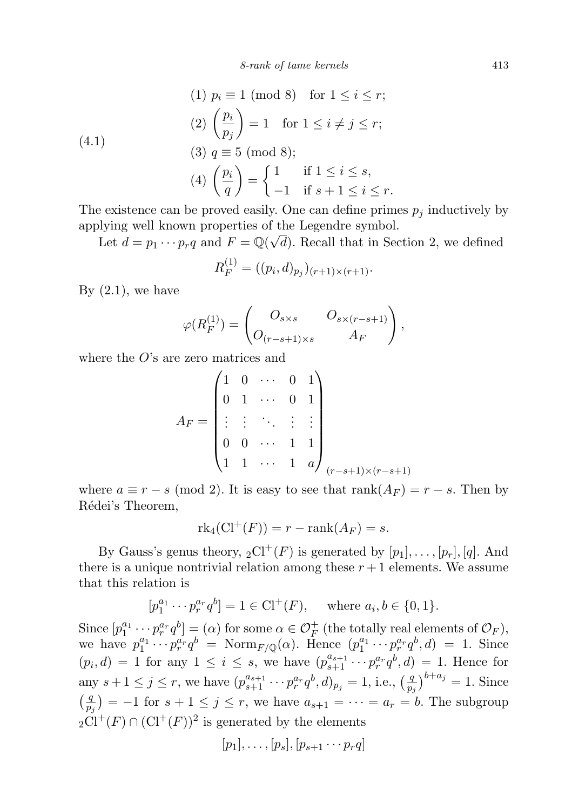(4.1)  
\n
$$
(1) \quad p_i \equiv 1 \pmod{8} \quad \text{for } 1 \le i \le r;
$$
\n
$$
(2) \quad \left(\frac{p_i}{p_j}\right) = 1 \quad \text{for } 1 \le i \ne j \le r;
$$
\n
$$
(3) \quad q \equiv 5 \pmod{8};
$$
\n
$$
(4) \quad \left(\frac{p_i}{q}\right) = \begin{cases} 1 & \text{if } 1 \le i \le s, \\ -1 & \text{if } s + 1 \le i \le r. \end{cases}
$$

The existence can be proved easily. One can define primes  $p_i$  inductively by applying well known properties of the Legendre symbol. √

Let  $d = p_1 \cdots p_r q$  and  $F = \mathbb{Q}(\sqrt{d})$ . Recall that in Section 2, we defined

$$
R_F^{(1)} = ((p_i, d)_{p_j})_{(r+1)\times(r+1)}.
$$

By  $(2.1)$ , we have

$$
\varphi(R_F^{(1)}) = \begin{pmatrix} O_{s \times s} & O_{s \times (r-s+1)} \\ O_{(r-s+1) \times s} & A_F \end{pmatrix},
$$

where the  $O$ 's are zero matrices and

$$
A_F = \begin{pmatrix} 1 & 0 & \cdots & 0 & 1 \\ 0 & 1 & \cdots & 0 & 1 \\ \vdots & \vdots & \ddots & \vdots & \vdots \\ 0 & 0 & \cdots & 1 & 1 \\ 1 & 1 & \cdots & 1 & a \end{pmatrix}_{(r-s+1)\times(r-s+1)}
$$

where  $a \equiv r - s \pmod{2}$ . It is easy to see that  $\text{rank}(A_F) = r - s$ . Then by Rédei's Theorem,

$$
rk_4(\mathrm{Cl}^+(F)) = r - \mathrm{rank}(A_F) = s.
$$

By Gauss's genus theory,  ${}_2\text{Cl}^+(F)$  is generated by  $[p_1], \ldots, [p_r], [q]$ . And there is a unique nontrivial relation among these  $r + 1$  elements. We assume that this relation is

$$
[p_1^{a_1} \cdots p_r^{a_r} q^b] = 1 \in \mathrm{Cl}^+(F)
$$
, where  $a_i, b \in \{0, 1\}$ .

Since  $[p_1^{a_1} \cdots p_r^{a_r} q^b] = (\alpha)$  for some  $\alpha \in \mathcal{O}_F^+$  (the totally real elements of  $\mathcal{O}_F$ ), we have  $p_1^{a_1} \cdots p_r^{a_r} q^b = \text{Norm}_{F/\mathbb{Q}}(\alpha)$ . Hence  $(p_1^{a_1} \cdots p_r^{a_r} q^b, d) = 1$ . Since  $(p_i, d) = 1$  for any  $1 \leq i \leq s$ , we have  $(p_{s+1}^{a_{s+1}} \cdots p_r^{a_r} q^b, d) = 1$ . Hence for any  $s + 1 \leq j \leq r$ , we have  $(p_{s+1}^{a_{s+1}} \cdots p_r^{a_r} q^b, d)_{p_j} = 1$ , i.e.,  $\left(\frac{q}{p}\right)$  $\frac{q}{p_j}$ )<sup>b+a<sub>j</sub></sup> = 1. Since  $\left(\frac{q}{q}\right)$  $\left(\frac{q}{p_j}\right)$  = -1 for  $s+1 \leq j \leq r$ , we have  $a_{s+1} = \cdots = a_r = b$ . The subgroup  $2\text{Cl}^+(F) \cap (\text{Cl}^+(F))^2$  is generated by the elements

$$
[p_1],\ldots,[p_s],[p_{s+1}\cdots p_rq]
$$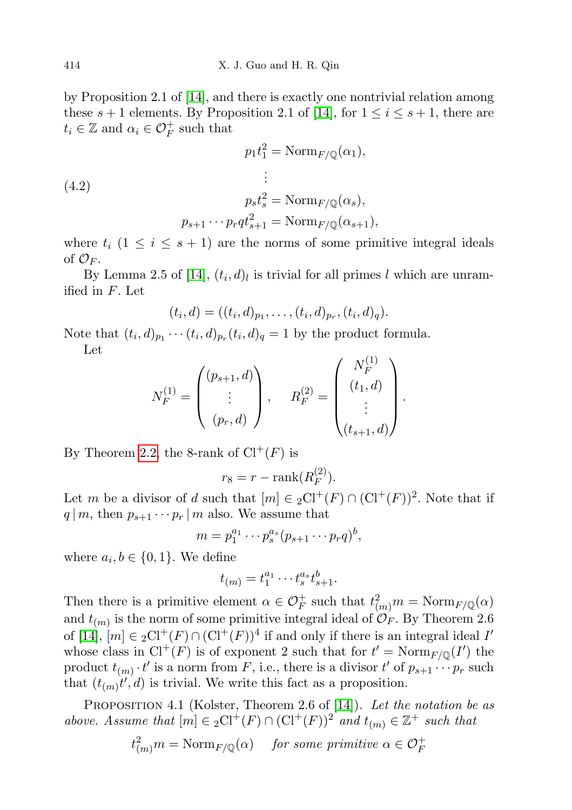by Proposition 2.1 of [\[14\]](#page-16-3), and there is exactly one nontrivial relation among these  $s + 1$  elements. By Proposition 2.1 of [\[14\]](#page-16-3), for  $1 \le i \le s + 1$ , there are  $t_i \in \mathbb{Z}$  and  $\alpha_i \in \mathcal{O}_F^+$  such that

(4.2)  
\n
$$
p_1 t_1^2 = \text{Norm}_{F/\mathbb{Q}}(\alpha_1),
$$
\n
$$
\vdots
$$
\n
$$
p_s t_s^2 = \text{Norm}_{F/\mathbb{Q}}(\alpha_s),
$$
\n
$$
p_{s+1} \cdots p_r q t_{s+1}^2 = \text{Norm}_{F/\mathbb{Q}}(\alpha_{s+1}),
$$

where  $t_i$   $(1 \leq i \leq s+1)$  are the norms of some primitive integral ideals of  $\mathcal{O}_F$ .

By Lemma 2.5 of [\[14\]](#page-16-3),  $(t_i, d)_l$  is trivial for all primes l which are unramified in F. Let

$$
(t_i, d) = ((t_i, d)_{p_1}, \ldots, (t_i, d)_{p_r}, (t_i, d)_q).
$$

Note that  $(t_i, d)_{p_1} \cdots (t_i, d)_{p_r} (t_i, d)_q = 1$  by the product formula. Let

$$
N_F^{(1)} = \begin{pmatrix} (p_{s+1}, d) \\ \vdots \\ (p_r, d) \end{pmatrix}, \qquad R_F^{(2)} = \begin{pmatrix} N_F^{(1)} \\ (t_1, d) \\ \vdots \\ (t_{s+1}, d) \end{pmatrix}.
$$

By Theorem [2.2,](#page-4-0) the 8-rank of  $Cl^+(F)$  is

$$
r_8 = r - \operatorname{rank}(R_F^{(2)}).
$$

Let m be a divisor of d such that  $[m] \in {}_2\text{Cl}^+(F) \cap (\text{Cl}^+(F))^2$ . Note that if  $q | m$ , then  $p_{s+1} \cdots p_r | m$  also. We assume that

$$
m=p_1^{a_1}\cdots p_s^{a_s}(p_{s+1}\cdots p_rq)^b,
$$

where  $a_i, b \in \{0, 1\}$ . We define

$$
t_{(m)} = t_1^{a_1} \cdots t_s^{a_s} t_{s+1}^b.
$$

Then there is a primitive element  $\alpha \in \mathcal{O}_F^+$  such that  $t^2_{(m)}m = \text{Norm}_{F/\mathbb{Q}}(\alpha)$ and  $t_{(m)}$  is the norm of some primitive integral ideal of  $\mathcal{O}_F$ . By Theorem 2.6 of [\[14\]](#page-16-3),  $[m] \in {}_2\mathrm{Cl}^+(F) \cap (\mathrm{Cl}^+(F))^4$  if and only if there is an integral ideal  $I'$ whose class in  $Cl^+(F)$  is of exponent 2 such that for  $t' = \text{Norm}_{F/\mathbb{Q}}(I')$  the product  $t_{(m)} \cdot t'$  is a norm from F, i.e., there is a divisor  $t'$  of  $p_{s+1} \cdots p_r$  such that  $(t_{(m)}t', d)$  is trivial. We write this fact as a proposition.

PROPOSITION 4.1 (Kolster, Theorem 2.6 of [\[14\]](#page-16-3)). Let the notation be as above. Assume that  $[m] \in {}_{2}Cl^{+}(F) \cap (Cl^{+}(F))^{2}$  and  $t_{(m)} \in \mathbb{Z}^{+}$  such that

$$
t^2_{(m)}m = \text{Norm}_{F/\mathbb{Q}}(\alpha) \quad \text{ for some primitive } \alpha \in \mathcal{O}_F^+
$$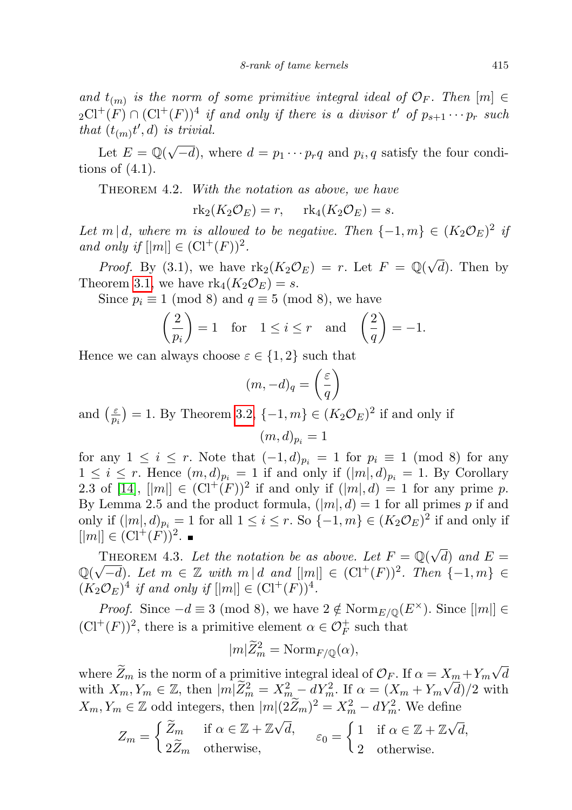and  $t_{(m)}$  is the norm of some primitive integral ideal of  $\mathcal{O}_F$ . Then  $[m] \in$  $_2\mathrm{Cl}^+(F)\cap (\mathrm{Cl}^+(F))^4$  if and only if there is a divisor t' of  $p_{s+1}\cdots p_r$  such that  $(t_{(m)}t', d)$  is trivial.

Let  $E = \mathbb{Q}(\sqrt{2})$  $(-d)$ , where  $d = p_1 \cdots p_r q$  and  $p_i, q$  satisfy the four conditions of  $(4.1)$ .

THEOREM 4.2. With the notation as above, we have

 $rk_2(K_2\mathcal{O}_E)=r, \quad rk_4(K_2\mathcal{O}_E)=s.$ 

Let m | d, where m is allowed to be negative. Then  $\{-1,m\} \in (K_2 \mathcal{O}_E)^2$  is and only if  $[|m|] \in (\mathrm{Cl}^+(F))^2$ .

*Proof.* By (3.1), we have  $\text{rk}_2(K_2 \mathcal{O}_E) = r$ . Let  $F = \mathbb{Q}(\sqrt{r})$  $(d)$ . Then by Theorem [3.1,](#page-4-1) we have  $rk_4(K_2\mathcal{O}_E)=s$ .

Since  $p_i \equiv 1 \pmod{8}$  and  $q \equiv 5 \pmod{8}$ , we have

$$
\left(\frac{2}{p_i}\right) = 1 \quad \text{for} \quad 1 \le i \le r \quad \text{and} \quad \left(\frac{2}{q}\right) = -1.
$$

Hence we can always choose  $\varepsilon \in \{1,2\}$  such that

$$
(m, -d)_q = \left(\frac{\varepsilon}{q}\right)
$$

and  $\left(\frac{\varepsilon}{n}\right)$  $\left(\frac{\varepsilon}{p_i}\right) = 1$ . By Theorem [3.2,](#page-5-0)  $\{-1, m\} \in (K_2 \mathcal{O}_E)^2$  if and only if

$$
(m,d)_{p_i}=1
$$

for any  $1 \leq i \leq r$ . Note that  $(-1, d)_{p_i} = 1$  for  $p_i \equiv 1 \pmod{8}$  for any  $1 \leq i \leq r$ . Hence  $(m, d)_{p_i} = 1$  if and only if  $(|m|, d)_{p_i} = 1$ . By Corollary 2.3 of [\[14\]](#page-16-3),  $||m|| \in (\mathrm{Cl}^+(F))^2$  if and only if  $(|m|, d) = 1$  for any prime p. By Lemma 2.5 and the product formula,  $(|m|, d) = 1$  for all primes p if and only if  $(|m|, d)_{p_i} = 1$  for all  $1 \leq i \leq r$ . So  $\{-1, m\} \in (K_2 \mathcal{O}_E)^2$  if and only if  $[|m|] \in (\mathrm{Cl}^+(F))^2.$ 

THEOREM 4.3. Let the notation be as above. Let  $F = \mathbb{Q}(\sqrt{\frac{F}{n}})$  $(d)$  and  $E =$ THEOREM 4.3. Let the notation be as above. Let  $F = \mathbb{Q}(\sqrt{d})$  and  $E = \mathbb{Q}(\sqrt{-d})$ . Let  $m \in \mathbb{Z}$  with  $m | d$  and  $||m|| \in (\mathrm{Cl}^+(F))^2$ . Then  $\{-1, m\} \in$  $(K_2 \mathcal{O}_E)^4$  if and only if  $[|m|] \in (\mathrm{Cl}^+(F))^4$ .

*Proof.* Since  $-d \equiv 3 \pmod{8}$ , we have  $2 \notin \text{Norm}_{E/\mathbb{Q}}(E^{\times})$ . Since  $\|m\| \in$  $(\mathrm{Cl}^+(F))^2$ , there is a primitive element  $\alpha \in \mathcal{O}_F^+$  such that

$$
|m|\widetilde{Z}_m^2 = \mathrm{Norm}_{F/\mathbb{Q}}(\alpha),
$$

where  $Z_m$  is the norm of a primitive integral ideal of  $\mathcal{O}_F$ . If  $\alpha = X_m + Y_m$ √  $X_{m} + Y_{m} \sqrt{d}$ with  $X_m, Y_m \in \mathbb{Z}$ , then  $|m|\widetilde{Z}_m^2 = X_m^2 - dY_m^2$ . If  $\alpha = (X_m + Y_m\sqrt{d})/2$  with  $X_m, Y_m \in \mathbb{Z}$  odd integers, then  $|m|(2\widetilde{Z}_m)^2 = X_m^2 - dY_m^2$ . We define

$$
Z_m = \begin{cases} \widetilde{Z}_m & \text{if } \alpha \in \mathbb{Z} + \mathbb{Z}\sqrt{d}, \\ 2\widetilde{Z}_m & \text{otherwise}, \end{cases} \qquad \varepsilon_0 = \begin{cases} 1 & \text{if } \alpha \in \mathbb{Z} + \mathbb{Z}\sqrt{d}, \\ 2 & \text{otherwise}. \end{cases}
$$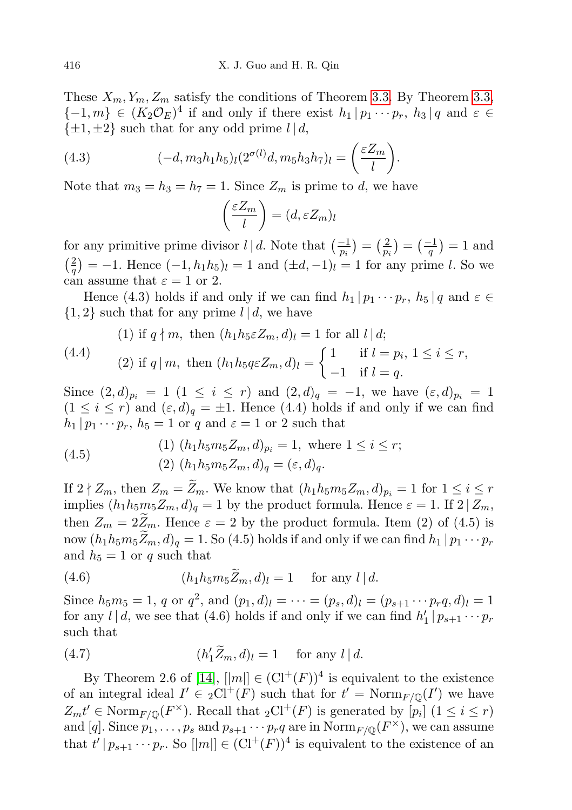These  $X_m, Y_m, Z_m$  satisfy the conditions of Theorem [3.3.](#page-5-1) By Theorem [3.3,](#page-5-1)  $\{-1,m\} \in (K_2 \mathcal{O}_E)^4$  if and only if there exist  $h_1 | p_1 \cdots p_r$ ,  $h_3 | q$  and  $\varepsilon \in$  $\{\pm 1, \pm 2\}$  such that for any odd prime  $l | d$ ,

(4.3) 
$$
(-d, m_3h_1h_5)_l(2^{\sigma(l)}d, m_5h_3h_7)_l = \left(\frac{\varepsilon Z_m}{l}\right).
$$

Note that  $m_3 = h_3 = h_7 = 1$ . Since  $Z_m$  is prime to d, we have

$$
\left(\frac{\varepsilon Z_m}{l}\right) = (d, \varepsilon Z_m)_l
$$

for any primitive prime divisor  $l | d$ . Note that  $\left(\frac{-1}{p_i}\right) = \left(\frac{2}{p_i}\right)$  $(\frac{2}{p_i}) = (\frac{-1}{q}) = 1$  and  $\left(\frac{2}{3}\right)$  $\binom{2}{q} = -1$ . Hence  $(-1, h_1 h_5)$ <sub>l</sub> = 1 and  $(\pm d, -1)$ <sub>l</sub> = 1 for any prime *l*. So we can assume that  $\varepsilon = 1$  or 2.

Hence (4.3) holds if and only if we can find  $h_1 | p_1 \cdots p_r$ ,  $h_5 | q$  and  $\varepsilon \in$  $\{1,2\}$  such that for any prime  $l | d$ , we have

(4.4) (1) if 
$$
q \nmid m
$$
, then  $(h_1 h_5 \in Z_m, d)_l = 1$  for all  $l \mid d$ ;  
\n(4.4) (2) if  $q \mid m$ , then  $(h_1 h_5 q \in Z_m, d)_l = \begin{cases} 1 & \text{if } l = p_i, 1 \leq i \leq r, \\ -1 & \text{if } l = q. \end{cases}$ 

Since  $(2,d)_{p_i} = 1$   $(1 \leq i \leq r)$  and  $(2,d)_{q} = -1$ , we have  $(\varepsilon, d)_{p_i} = 1$  $(1 \leq i \leq r)$  and  $(\varepsilon, d)_{q} = \pm 1$ . Hence  $(4.4)$  holds if and only if we can find  $h_1 | p_1 \cdots p_r, h_5 = 1$  or q and  $\varepsilon = 1$  or 2 such that

(4.5) 
$$
(1) (h_1 h_5 m_5 Z_m, d)_{p_i} = 1, \text{ where } 1 \le i \le r;
$$

$$
(2) (h_1 h_5 m_5 Z_m, d)_q = (\varepsilon, d)_q.
$$

If  $2 \nmid Z_m$ , then  $Z_m = \widetilde{Z}_m$ . We know that  $(h_1h_5m_5Z_m, d)_{p_i} = 1$  for  $1 \leq i \leq r$ implies  $(h_1h_5m_5Z_m, d)_q = 1$  by the product formula. Hence  $\varepsilon = 1$ . If  $2 | Z_m$ , then  $Z_m = 2\widetilde{Z}_m$ . Hence  $\varepsilon = 2$  by the product formula. Item (2) of (4.5) is now  $(h_1h_5m_5\ddot{Z}_m, d)_q = 1$ . So (4.5) holds if and only if we can find  $h_1 | p_1 \cdots p_r$ and  $h_5 = 1$  or q such that

(4.6) 
$$
(h_1 h_5 m_5 \widetilde{Z}_m, d)_l = 1 \quad \text{for any } l | d.
$$

Since  $h_5m_5 = 1$ , q or  $q^2$ , and  $(p_1, d)_l = \cdots = (p_s, d)_l = (p_{s+1} \cdots p_r q, d)_l = 1$ for any  $l | d$ , we see that (4.6) holds if and only if we can find  $h'_1 | p_{s+1} \cdots p_r$ such that

(4.7) 
$$
(h'_1 \widetilde{Z}_m, d)_l = 1 \quad \text{for any } l \mid d.
$$

By Theorem 2.6 of [\[14\]](#page-16-3),  $||m|| \in (\mathrm{Cl}^+(F))^4$  is equivalent to the existence of an integral ideal  $I' \in {}_{2}Cl^{+}(F)$  such that for  $t' = \text{Norm}_{F/\mathbb{Q}}(I')$  we have  $Z_m t' \in \text{Norm}_{F/\mathbb{Q}}(F^\times)$ . Recall that  ${}_2\text{Cl}^+(F)$  is generated by  $[p_i]$   $(1 \leq i \leq r)$ and [q]. Since  $p_1, \ldots, p_s$  and  $p_{s+1} \cdots p_r q$  are in  $\text{Norm}_{F/\mathbb{Q}}(F^{\times})$ , we can assume that  $t' | p_{s+1} \cdots p_r$ . So  $[|m|] \in (\mathrm{Cl}^+(F))^4$  is equivalent to the existence of an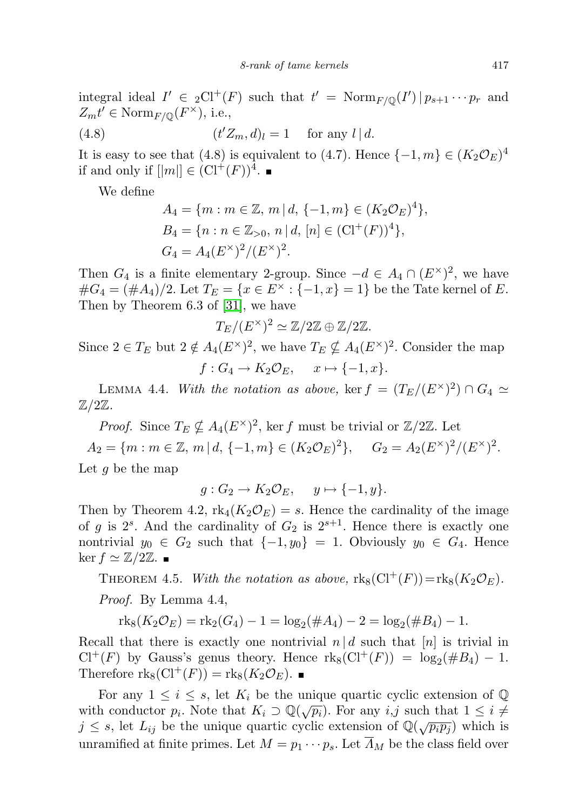integral ideal  $I' \in {}_{2}Cl^{+}(F)$  such that  $t' = \text{Norm}_{F/\mathbb{Q}}(I') | p_{s+1} \cdots p_{r}$  and  $Z_{m}t' \in \text{Norm}_{F/\mathbb{Q}}(F^{\times}),$  i.e.,

(4.8) 
$$
(t'Z_m, d)_l = 1 \quad \text{for any } l | d.
$$

It is easy to see that (4.8) is equivalent to (4.7). Hence  $\{-1, m\} \in (K_2 \mathcal{O}_E)^4$ if and only if  $[|m|] \in (\mathrm{Cl}^+(F))^4$ .

We define

$$
A_4 = \{m : m \in \mathbb{Z}, m \mid d, \{-1, m\} \in (K_2 \mathcal{O}_E)^4\},
$$
  
\n
$$
B_4 = \{n : n \in \mathbb{Z}_{>0}, n \mid d, [n] \in (\mathrm{Cl}^+(F))^4\},
$$
  
\n
$$
G_4 = A_4 (E^\times)^2 / (E^\times)^2.
$$

Then  $G_4$  is a finite elementary 2-group. Since  $-d \in A_4 \cap (E^{\times})^2$ , we have  $\#G_4 = (\#A_4)/2$ . Let  $T_E = \{x \in E^\times : \{-1, x\} = 1\}$  be the Tate kernel of E. Then by Theorem 6.3 of [\[31\]](#page-17-6), we have

$$
T_E/(E^{\times})^2 \simeq \mathbb{Z}/2\mathbb{Z} \oplus \mathbb{Z}/2\mathbb{Z}.
$$

Since  $2 \in T_E$  but  $2 \notin A_4(E^{\times})^2$ , we have  $T_E \nsubseteq A_4(E^{\times})^2$ . Consider the map  $f: G_4 \to K_2 \mathcal{O}_E, \quad x \mapsto \{-1, x\}.$ 

LEMMA 4.4. With the notation as above, ker  $f = (T_E/(E^{\times})^2) \cap G_4 \simeq$  $\mathbb{Z}/2\mathbb{Z}.$ 

*Proof.* Since  $T_E \nsubseteq A_4(E^{\times})^2$ , ker f must be trivial or  $\mathbb{Z}/2\mathbb{Z}$ . Let  $A_2 = \{m : m \in \mathbb{Z}, m \mid d, \{-1, m\} \in (K_2 \mathcal{O}_E)^2\}, \quad G_2 = A_2 (E^{\times})^2 / (E^{\times})^2.$ Let  $g$  be the map

$$
g: G_2 \to K_2 \mathcal{O}_E, \quad y \mapsto \{-1, y\}.
$$

Then by Theorem 4.2,  $\text{rk}_4(K_2\mathcal{O}_E) = s$ . Hence the cardinality of the image of g is  $2^s$ . And the cardinality of  $G_2$  is  $2^{s+1}$ . Hence there is exactly one nontrivial  $y_0 \in G_2$  such that  $\{-1, y_0\} = 1$ . Obviously  $y_0 \in G_4$ . Hence  $\ker f \simeq \mathbb{Z}/2\mathbb{Z}$ .

THEOREM 4.5. With the notation as above,  $\text{rk}_8(\text{Cl}^+(F))=\text{rk}_8(K_2\mathcal{O}_E).$ 

Proof. By Lemma 4.4,

$$
rk_8(K_2\mathcal{O}_E) = rk_2(G_4) - 1 = \log_2(\#A_4) - 2 = \log_2(\#B_4) - 1.
$$

Recall that there is exactly one nontrivial  $n | d$  such that  $[n]$  is trivial in  $Cl^+(F)$  by Gauss's genus theory. Hence  $\text{rk}_8(Cl^+(F)) = \log_2(\#B_4) - 1$ . Therefore  $\text{rk}_8(\text{Cl}^+(F)) = \text{rk}_8(K_2\mathcal{O}_F)$ .

For any  $1 \leq i \leq s$ , let  $K_i$  be the unique quartic cyclic extension of Q with conductor  $p_i$ . Note that  $K_i \supset \mathbb{Q}(\sqrt{p_i})$ . For any *i,j* such that  $1 \leq i \neq j$  $j \leq s$ , let  $L_{ij}$  be the unique quartic cyclic extension of  $\mathbb{Q}(\sqrt{p_i p_j})$  which is unramified at finite primes. Let  $M = p_1 \cdots p_s$ . Let  $\overline{A}_M$  be the class field over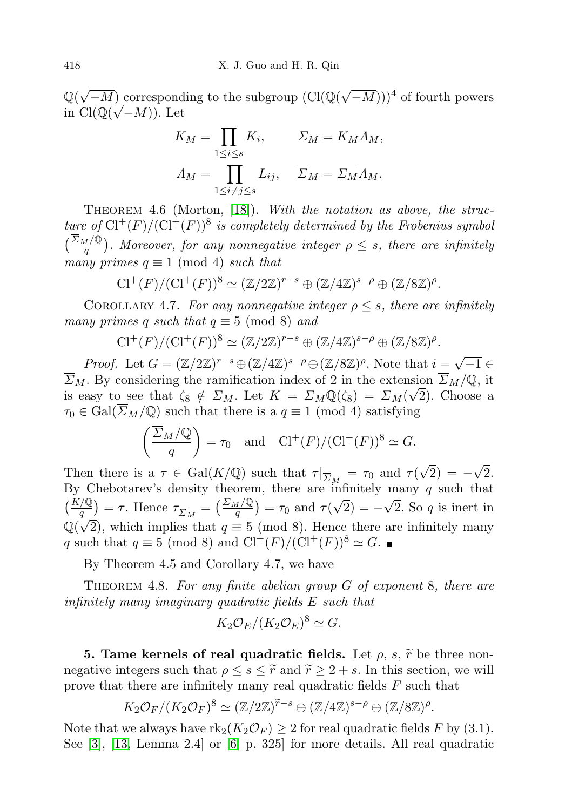$\mathbb{Q}(\sqrt{-M})$  corresponding to the subgroup  $(\text{Cl}(\mathbb{Q}(\sqrt{-M})))^4$  of fourth powers in  $\text{Cl}(\mathbb{Q}(\sqrt{-M}))$ . Let

$$
K_M = \prod_{1 \le i \le s} K_i, \qquad \Sigma_M = K_M \Lambda_M,
$$
  

$$
\Lambda_M = \prod_{1 \le i \ne j \le s} L_{ij}, \quad \overline{\Sigma}_M = \Sigma_M \overline{\Lambda}_M.
$$

THEOREM 4.6 (Morton, [\[18\]](#page-17-4)). With the notation as above, the structure of  $Cl^+(F)/(Cl^+(F))^8$  is completely determined by the Frobenius symbol  $\left(\frac{\sum_M/\mathbb{Q}}{q}\right)$ . Moreover, for any nonnegative integer  $\rho \leq s$ , there are infinitely many primes  $q \equiv 1 \pmod{4}$  such that

$$
\mathrm{Cl}^+(F)/(\mathrm{Cl}^+(F))^8 \simeq (\mathbb{Z}/2\mathbb{Z})^{r-s} \oplus (\mathbb{Z}/4\mathbb{Z})^{s-\rho} \oplus (\mathbb{Z}/8\mathbb{Z})^{\rho}.
$$

COROLLARY 4.7. For any nonnegative integer  $\rho \leq s$ , there are infinitely many primes q such that  $q \equiv 5 \pmod{8}$  and

$$
\mathrm{Cl}^+(F)/(\mathrm{Cl}^+(F))^8 \simeq (\mathbb{Z}/2\mathbb{Z})^{r-s} \oplus (\mathbb{Z}/4\mathbb{Z})^{s-\rho} \oplus (\mathbb{Z}/8\mathbb{Z})^{\rho}.
$$

*Proof.* Let  $G = (\mathbb{Z}/2\mathbb{Z})^{r-s} \oplus (\mathbb{Z}/4\mathbb{Z})^{s-\rho} \oplus (\mathbb{Z}/8\mathbb{Z})^{\rho}$ . Note that  $i =$ √  $\overline{-1} \in$  $\overline{\Sigma}_M$ . By considering the ramification index of 2 in the extension  $\overline{\Sigma}_M/\mathbb{Q}$ , it is easy to see that  $\zeta_8 \notin \overline{\Sigma}_M$ . Let  $K = \overline{\Sigma}_M \mathbb{Q}(\zeta_8) = \overline{\Sigma}_M(\sqrt{2})$ . Choose a  $\tau_0 \in \text{Gal}(\overline{\Sigma}_M/\mathbb{Q})$  such that there is a  $q \equiv 1 \pmod{4}$  satisfying

$$
\left(\frac{\overline{\Sigma}_M/\mathbb{Q}}{q}\right) = \tau_0 \quad \text{and} \quad \text{Cl}^+(F)/(\text{Cl}^+(F))^8 \simeq G.
$$

Then there is a  $\tau \in \text{Gal}(K/\mathbb{Q})$  such that  $\tau|_{\overline{\Sigma}_M} = \tau_0$  and  $\tau($ √  $(2) = -$ √ 2. By Chebotarev's density theorem, there are infinitely many q such that  $\left(\frac{K/\mathbb{Q}}{q}\right) = \tau$ . Hence  $\tau_{\overline{\Sigma}_M} = \left(\frac{\overline{\Sigma}_M/\mathbb{Q}}{q}\right) = \tau_0$  and  $\tau(\sqrt{2}) = -\sqrt{2}$ . So q is inert in  $\mathbb{Q}(\sqrt{2})$ , which implies that  $q \equiv 5 \pmod{8}$ . Hence there are infinitely many q such that  $q \equiv 5 \pmod{8}$  and  $\text{Cl}^+(F)/( \text{Cl}^+(F))^8 \simeq G$ .

By Theorem 4.5 and Corollary 4.7, we have

THEOREM 4.8. For any finite abelian group  $G$  of exponent 8, there are infinitely many imaginary quadratic fields E such that

$$
K_2 \mathcal{O}_E/(K_2 \mathcal{O}_E)^8 \simeq G.
$$

**5. Tame kernels of real quadratic fields.** Let  $\rho$ ,  $s$ ,  $\tilde{r}$  be three nonnegative integers such that  $\rho \leq s \leq \tilde{r}$  and  $\tilde{r} \geq 2 + s$ . In this section, we will prove that there are infinitely many real quadratic fields F such that

$$
K_2\mathcal{O}_F/(K_2\mathcal{O}_F)^8 \simeq (\mathbb{Z}/2\mathbb{Z})^{\widetilde{r}-s} \oplus (\mathbb{Z}/4\mathbb{Z})^{s-\rho} \oplus (\mathbb{Z}/8\mathbb{Z})^{\rho}.
$$

Note that we always have  $\text{rk}_2(K_2\mathcal{O}_F) \geq 2$  for real quadratic fields F by (3.1). See [\[3\]](#page-16-4), [\[13,](#page-16-12) Lemma 2.4] or [\[6,](#page-16-13) p. 325] for more details. All real quadratic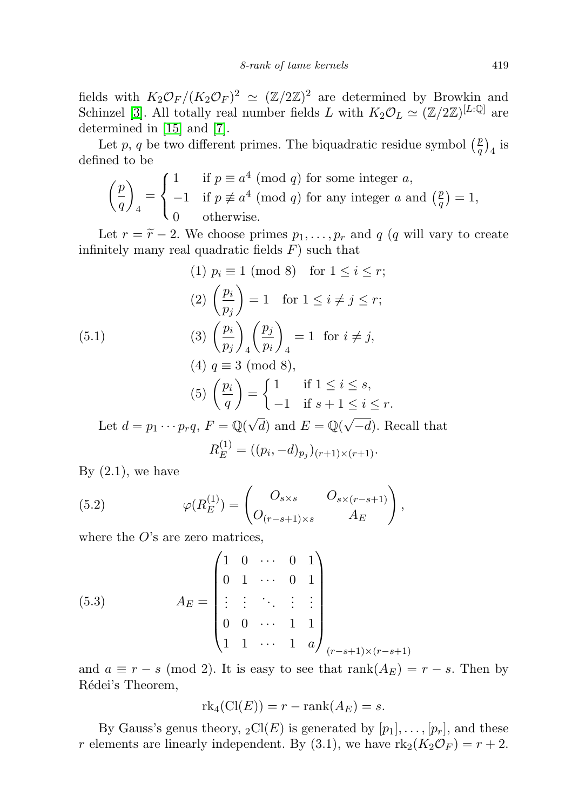fields with  $K_2\mathcal{O}_F/(K_2\mathcal{O}_F)^2 \simeq (\mathbb{Z}/2\mathbb{Z})^2$  are determined by Browkin and Schinzel [\[3\]](#page-16-4). All totally real number fields L with  $K_2 \mathcal{O}_L \simeq (\mathbb{Z}/2\mathbb{Z})^{[L:\mathbb{Q}]}$  are determined in [\[15\]](#page-16-14) and [\[7\]](#page-16-15).

Let p, q be two different primes. The biquadratic residue symbol  $\binom{p}{q}$  $\frac{p}{q}\big)_4$  is defined to be

$$
\left(\frac{p}{q}\right)_4 = \begin{cases} 1 & \text{if } p \equiv a^4 \pmod{q} \text{ for some integer } a, \\ -1 & \text{if } p \not\equiv a^4 \pmod{q} \text{ for any integer } a \text{ and } \left(\frac{p}{q}\right) = 1, \\ 0 & \text{otherwise.} \end{cases}
$$

Let  $r = \tilde{r} - 2$ . We choose primes  $p_1, \ldots, p_r$  and q (q will vary to create infinitely many real quadratic fields  $F$ ) such that

(1) 
$$
p_i \equiv 1 \pmod{8}
$$
 for  $1 \le i \le r$ ;  
\n(2)  $\left(\frac{p_i}{p_j}\right) = 1$  for  $1 \le i \ne j \le r$ ;  
\n(5.1) (3)  $\left(\frac{p_i}{p_j}\right)_4 \left(\frac{p_j}{p_i}\right)_4 = 1$  for  $i \ne j$ ,  
\n(4)  $q \equiv 3 \pmod{8}$ ,  
\n(5)  $\left(\frac{p_i}{q}\right) = \begin{cases} 1 & \text{if } 1 \le i \le s, \\ -1 & \text{if } s + 1 \le i \le r. \end{cases}$   
\nLet  $d = p_1 \cdots p_r q$ ,  $F = \mathbb{Q}(\sqrt{d})$  and  $E = \mathbb{Q}(\sqrt{-d})$ . Recall that  
\n $R_E^{(1)} = ((p_i, -d)_{p_j})_{(r+1) \times (r+1)}$ .

By  $(2.1)$ , we have

(5.2) 
$$
\varphi(R_E^{(1)}) = \begin{pmatrix} O_{s \times s} & O_{s \times (r-s+1)} \\ O_{(r-s+1) \times s} & A_E \end{pmatrix},
$$

where the  $O$ 's are zero matrices,

(5.3) 
$$
A_E = \begin{pmatrix} 1 & 0 & \cdots & 0 & 1 \\ 0 & 1 & \cdots & 0 & 1 \\ \vdots & \vdots & \ddots & \vdots & \vdots \\ 0 & 0 & \cdots & 1 & 1 \\ 1 & 1 & \cdots & 1 & a \end{pmatrix}_{(r-s+1)\times(r-s+1)}
$$

and  $a \equiv r - s \pmod{2}$ . It is easy to see that  $\text{rank}(A_E) = r - s$ . Then by Rédei's Theorem,

$$
rk_4(Cl(E)) = r - rank(A_E) = s.
$$

By Gauss's genus theory,  $_2\text{Cl}(E)$  is generated by  $[p_1], \ldots, [p_r]$ , and these r elements are linearly independent. By (3.1), we have  $\text{rk}_2(K_2\mathcal{O}_F) = r + 2$ .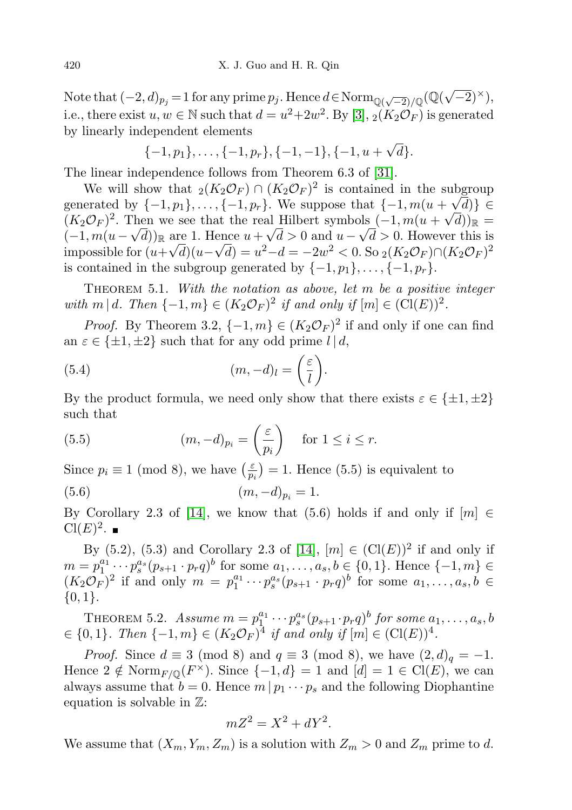Note that  $(-2, d)_{p_j} = 1$  for any prime  $p_j$ . Hence  $d \in \text{Norm}_{\mathbb{Q}(\sqrt{-2})/\mathbb{Q}}(\mathbb{Q}(\sqrt{-2})^{\times}),$ i.e., there exist  $u, w \in \mathbb{N}$  such that  $d = u^2 + 2w^2$ . By [\[3\]](#page-16-4),  $\overline{2(K_2\mathcal{O}_F)}$  is generated by linearly independent elements

$$
\{-1, p_1\}, \ldots, \{-1, p_r\}, \{-1, -1\}, \{-1, u + \sqrt{d}\}.
$$

The linear independence follows from Theorem 6.3 of [\[31\]](#page-17-6).

We will show that  $_2(K_2\mathcal{O}_F) \cap (K_2\mathcal{O}_F)^2$  is contained in the subgroup generated by  $\{-1, p_1\}, \ldots, \{-1, p_r\}$ . We suppose that  $\{-1, m(u + \sqrt{d})\} \in$  $(K_2\mathcal{O}_F)^2$ . Then we see that the real Hilbert symbols  $(-1, m(u + \sqrt{d}))_{\mathbb{R}} =$  $(-1, m(u - \sqrt{d}))_{\mathbb{R}}$  are 1. Hence  $u + \sqrt{d} > 0$  and  $u - \sqrt{d} > 0$ . However this is impossible for  $(u+\sqrt{d})(u-\sqrt{d})=u^2-d=-2w^2< 0$ . So  $_2(K_2\mathcal{O}_F)\cap (K_2\mathcal{O}_F)^2$ is contained in the subgroup generated by  $\{-1, p_1\}, \ldots, \{-1, p_r\}.$ 

THEOREM 5.1. With the notation as above, let  $m$  be a positive integer with m | d. Then  $\{-1, m\} \in (K_2 \mathcal{O}_F)^2$  if and only if  $[m] \in (Cl(E))^2$ .

*Proof.* By Theorem 3.2,  $\{-1, m\} \in (K_2 \mathcal{O}_F)^2$  if and only if one can find an  $\varepsilon \in {\pm 1, \pm 2}$  such that for any odd prime  $l | d$ ,

(5.4) 
$$
(m, -d)_l = \left(\frac{\varepsilon}{l}\right).
$$

By the product formula, we need only show that there exists  $\varepsilon \in \{\pm 1, \pm 2\}$ such that

(5.5) 
$$
(m, -d)_{p_i} = \left(\frac{\varepsilon}{p_i}\right) \quad \text{for } 1 \leq i \leq r.
$$

Since  $p_i \equiv 1 \pmod{8}$ , we have  $\left(\frac{\varepsilon}{n}\right)$  $\frac{\varepsilon}{p_i}$  = 1. Hence (5.5) is equivalent to

(5.6) 
$$
(m, -d)_{p_i} = 1.
$$

By Corollary 2.3 of [\[14\]](#page-16-3), we know that (5.6) holds if and only if  $[m] \in$  $Cl(E)^2$ .

By  $(5.2)$ ,  $(5.3)$  and Corollary 2.3 of [\[14\]](#page-16-3),  $[m] \in (Cl(E))^2$  if and only if  $m = p_1^{a_1} \cdots p_s^{a_s} (p_{s+1} \cdot p_r q)^b$  for some  $a_1, \ldots, a_s, b \in \{0, 1\}$ . Hence  $\{-1, m\} \in$  $(K_2\mathcal{O}_F)^2$  if and only  $m = p_1^{a_1} \cdots p_s^{a_s} (p_{s+1} \cdot p_r q)^b$  for some  $a_1, \ldots, a_s, b \in$  ${0,1}.$ 

THEOREM 5.2. Assume  $m = p_1^{a_1} \cdots p_s^{a_s} (p_{s+1} \cdot p_r q)^b$  for some  $a_1, \ldots, a_s, b$  $\in \{0,1\}$ . Then  $\{-1,m\} \in (K_2 \mathcal{O}_F)^4$  if and only if  $[m] \in (Cl(E))^4$ .

*Proof.* Since  $d \equiv 3 \pmod{8}$  and  $q \equiv 3 \pmod{8}$ , we have  $(2, d)_q = -1$ . Hence  $2 \notin \text{Norm}_{F/\mathbb{Q}}(F^{\times})$ . Since  $\{-1, d\} = 1$  and  $[d] = 1 \in \text{Cl}(E)$ , we can always assume that  $b = 0$ . Hence  $m | p_1 \cdots p_s$  and the following Diophantine equation is solvable in  $\mathbb{Z}$ :

$$
mZ^2 = X^2 + dY^2.
$$

We assume that  $(X_m, Y_m, Z_m)$  is a solution with  $Z_m > 0$  and  $Z_m$  prime to d.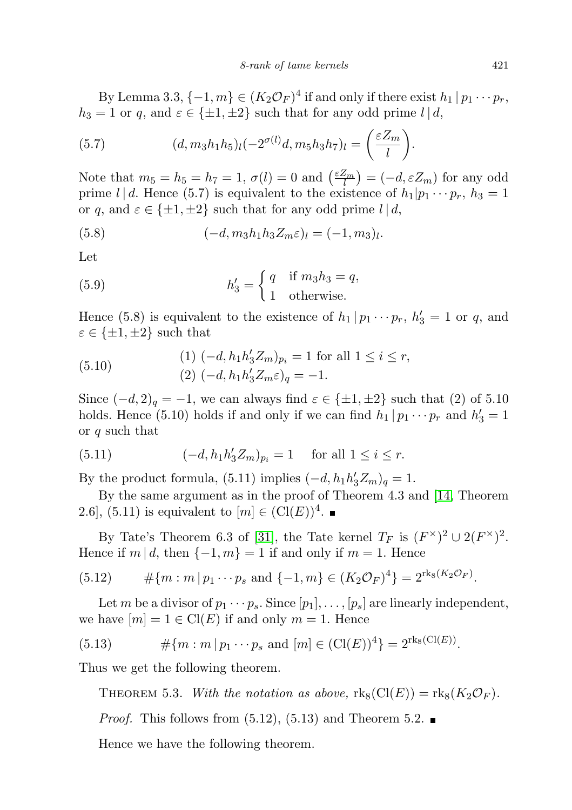By Lemma 3.3,  $\{-1,m\} \in (K_2 \mathcal{O}_F)^4$  if and only if there exist  $h_1 | p_1 \cdots p_r$ ,  $h_3 = 1$  or q, and  $\varepsilon \in {\pm 1, \pm 2}$  such that for any odd prime  $l | d$ ,

(5.7) 
$$
(d, m_3h_1h_5)_l(-2^{\sigma(l)}d, m_5h_3h_7)_l = \left(\frac{\varepsilon Z_m}{l}\right).
$$

Note that  $m_5 = h_5 = h_7 = 1$ ,  $\sigma(l) = 0$  and  $\left(\frac{\varepsilon Z_m}{l}\right) = (-d, \varepsilon Z_m)$  for any odd prime l | d. Hence (5.7) is equivalent to the existence of  $h_1|p_1 \cdots p_r$ ,  $h_3 = 1$ or q, and  $\varepsilon \in {\pm 1, \pm 2}$  such that for any odd prime  $l | d$ ,

(5.8) 
$$
(-d, m_3 h_1 h_3 Z_m \varepsilon)_l = (-1, m_3)_l.
$$

Let

(5.9) 
$$
h'_3 = \begin{cases} q & \text{if } m_3h_3 = q, \\ 1 & \text{otherwise.} \end{cases}
$$

Hence (5.8) is equivalent to the existence of  $h_1 | p_1 \cdots p_r$ ,  $h'_3 = 1$  or q, and  $\varepsilon \in {\pm 1, \pm 2}$  such that

(5.10) 
$$
(1) (-d, h_1 h'_3 Z_m)_{p_i} = 1 \text{ for all } 1 \le i \le r,
$$

$$
(2) (-d, h_1 h'_3 Z_m \varepsilon)_{q} = -1.
$$

Since  $(-d, 2)_q = -1$ , we can always find  $\varepsilon \in {\pm 1, \pm 2}$  such that  $(2)$  of 5.10 holds. Hence (5.10) holds if and only if we can find  $h_1 | p_1 \cdots p_r$  and  $h'_3 = 1$ or q such that

(5.11) 
$$
(-d, h_1 h'_3 Z_m)_{p_i} = 1 \text{ for all } 1 \le i \le r.
$$

By the product formula,  $(5.11)$  implies  $(-d, h_1 h'_3 Z_m)_q = 1$ .

By the same argument as in the proof of Theorem 4.3 and [\[14,](#page-16-3) Theorem 2.6, (5.11) is equivalent to  $[m] \in (Cl(E))^4$ .

By Tate's Theorem 6.3 of [\[31\]](#page-17-6), the Tate kernel  $T_F$  is  $(F^{\times})^2 \cup 2(F^{\times})^2$ . Hence if  $m | d$ , then  $\{-1, m\} = 1$  if and only if  $m = 1$ . Hence

(5.12) 
$$
\#\{m : m | p_1 \cdots p_s \text{ and } \{-1, m\} \in (K_2 \mathcal{O}_F)^4\} = 2^{\text{rk}_8(K_2 \mathcal{O}_F)}.
$$

Let m be a divisor of  $p_1 \cdots p_s$ . Since  $[p_1], \ldots, [p_s]$  are linearly independent, we have  $[m] = 1 \in \text{Cl}(E)$  if and only  $m = 1$ . Hence

(5.13) 
$$
\# \{ m : m | p_1 \cdots p_s \text{ and } [m] \in (\text{Cl}(E))^4 \} = 2^{\text{rk}_8(\text{Cl}(E))}.
$$

Thus we get the following theorem.

THEOREM 5.3. With the notation as above,  $\text{rk}_8(\text{Cl}(E)) = \text{rk}_8(K_2\mathcal{O}_F)$ .

*Proof.* This follows from  $(5.12)$ ,  $(5.13)$  and Theorem 5.2.

Hence we have the following theorem.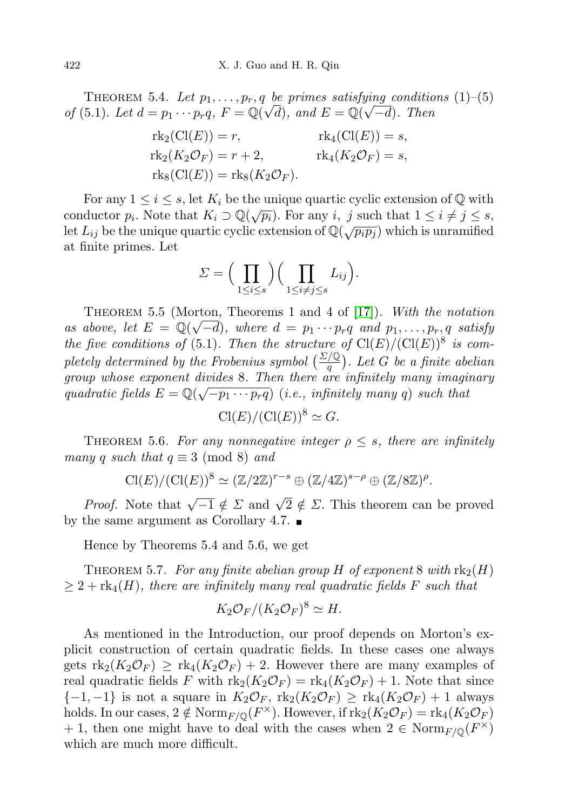THEOREM 5.4. Let  $p_1, \ldots, p_r, q$  be primes satisfying conditions (1)–(5) of (5.1). Let  $d = p_1 \cdots p_r q$ ,  $F = \mathbb{Q}(\sqrt{d})$ , and  $E = \mathbb{Q}(\sqrt{-d})$ . Then

$$
rk_2(Cl(E)) = r,
$$
  
\n
$$
rk_2(K_2\mathcal{O}_F) = r + 2,
$$
  
\n
$$
rk_3(Cl(E)) = rk_8(K_2\mathcal{O}_F).
$$
  
\n
$$
rk_4(K_2\mathcal{O}_F) = s,
$$
  
\n
$$
rk_5(Cl(E)) = rk_8(K_2\mathcal{O}_F).
$$

For any  $1 \leq i \leq s$ , let  $K_i$  be the unique quartic cyclic extension of Q with conductor  $p_i$ . Note that  $K_i \supset \mathbb{Q}(\sqrt{p_i})$ . For any i, j such that  $1 \leq i \neq j \leq s$ , Let  $L_{ij}$  be the unique quartic cyclic extension of  $\mathbb{Q}(\sqrt{p_i p_j})$  which is unramified at finite primes. Let

$$
\Sigma = \Big(\prod_{1 \leq i \leq s} \Big) \Big(\prod_{1 \leq i \neq j \leq s} L_{ij}\Big).
$$

THEOREM 5.5 (Morton, Theorems 1 and 4 of [\[17\]](#page-17-3)). With the notation as above, let  $E = \mathbb{Q}(\sqrt{-d})$ , where  $d = p_1 \cdots p_r q$  and  $p_1, \ldots, p_r, q$  satisfy the five conditions of (5.1). Then the structure of  $Cl(E)/\left(Cl(E)\right)^8$  is completely determined by the Frobenius symbol  $\left(\frac{\Sigma/\mathbb{Q}}{q}\right)$ . Let G be a finite abelian group whose exponent divides 8. Then there are infinitely many imaginary quadratic fields  $E = \mathbb{Q}(\sqrt{-p_1 \cdots p_r q})$  (i.e., infinitely many q) such that

$$
\operatorname{Cl}(E)/(\operatorname{Cl}(E))^8 \simeq G.
$$

THEOREM 5.6. For any nonnegative integer  $\rho \leq s$ , there are infinitely many q such that  $q \equiv 3 \pmod{8}$  and

$$
\operatorname{Cl}(E)/(\operatorname{Cl}(E))^8 \simeq (\mathbb{Z}/2\mathbb{Z})^{r-s} \oplus (\mathbb{Z}/4\mathbb{Z})^{s-\rho} \oplus (\mathbb{Z}/8\mathbb{Z})^{\rho}.
$$

*Proof.* Note that  $\sqrt{-1} \notin \Sigma$  and  $\sqrt{2} \notin \Sigma$ . This theorem can be proved by the same argument as Corollary 4.7.  $\blacksquare$ 

Hence by Theorems 5.4 and 5.6, we get

THEOREM 5.7. For any finite abelian group H of exponent 8 with  $\text{rk}_2(H)$  $\geq 2 + \text{rk}_4(H)$ , there are infinitely many real quadratic fields F such that

$$
K_2 \mathcal{O}_F/(K_2 \mathcal{O}_F)^8 \simeq H.
$$

As mentioned in the Introduction, our proof depends on Morton's explicit construction of certain quadratic fields. In these cases one always gets  $\text{rk}_2(K_2\mathcal{O}_F) \geq \text{rk}_4(K_2\mathcal{O}_F) + 2$ . However there are many examples of real quadratic fields F with  $\text{rk}_2(K_2\mathcal{O}_F) = \text{rk}_4(K_2\mathcal{O}_F) + 1$ . Note that since  ${-1,-1}$  is not a square in  $K_2\mathcal{O}_F$ ,  $\text{rk}_2(K_2\mathcal{O}_F) \geq \text{rk}_4(K_2\mathcal{O}_F) + 1$  always holds. In our cases,  $2 \notin \text{Norm}_{F/\mathbb{Q}}(F^{\times})$ . However, if  $\text{rk}_2(K_2\mathcal{O}_F) = \text{rk}_4(K_2\mathcal{O}_F)$ + 1, then one might have to deal with the cases when  $2 \in \text{Norm}_{F/\mathbb{Q}}(F^{\times})$ which are much more difficult.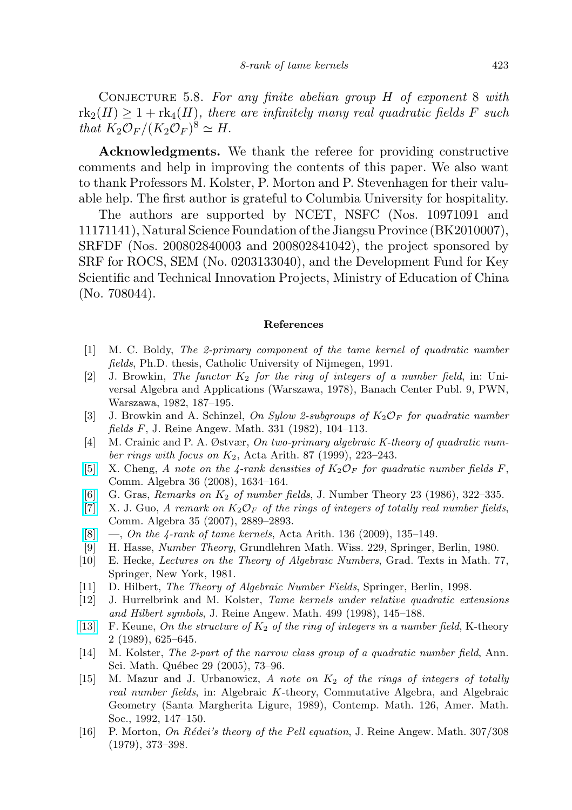CONJECTURE 5.8. For any finite abelian group  $H$  of exponent 8 with  $\text{rk}_2(H) \geq 1 + \text{rk}_4(H)$ , there are infinitely many real quadratic fields F such that  $K_2\mathcal{O}_F/(K_2\mathcal{O}_F)^8 \simeq H$ .

Acknowledgments. We thank the referee for providing constructive comments and help in improving the contents of this paper. We also want to thank Professors M. Kolster, P. Morton and P. Stevenhagen for their valuable help. The first author is grateful to Columbia University for hospitality.

The authors are supported by NCET, NSFC (Nos. 10971091 and 11171141), Natural Science Foundation of the Jiangsu Province (BK2010007), SRFDF (Nos. 200802840003 and 200802841042), the project sponsored by SRF for ROCS, SEM (No. 0203133040), and the Development Fund for Key Scientific and Technical Innovation Projects, Ministry of Education of China (No. 708044).

## References

- <span id="page-16-10"></span>[1] M. C. Boldy, The 2-primary component of the tame kernel of quadratic number fields, Ph.D. thesis, Catholic University of Nijmegen, 1991.
- <span id="page-16-9"></span>[2] J. Browkin, The functor  $K_2$  for the ring of integers of a number field, in: Universal Algebra and Applications (Warszawa, 1978), Banach Center Publ. 9, PWN, Warszawa, 1982, 187–195.
- <span id="page-16-4"></span>[3] J. Browkin and A. Schinzel, On Sylow 2-subgroups of  $K_2\mathcal{O}_F$  for quadratic number fields F, J. Reine Angew. Math. 331 (1982), 104–113.
- <span id="page-16-11"></span>[4] M. Crainic and P. A. Østvær, On two-primary algebraic K-theory of quadratic number rings with focus on  $K_2$ , Acta Arith. 87 (1999), 223–243.
- <span id="page-16-6"></span>[\[5\]](http://dx.doi.org/10.1080/00927870701872463) X. Cheng, A note on the 4-rank densities of  $K_2\mathcal{O}_F$  for quadratic number fields F, Comm. Algebra 36 (2008), 1634–164.
- <span id="page-16-13"></span>[\[6\]](http://dx.doi.org/10.1016/0022-314X(86)90077-6) G. Gras, Remarks on  $K_2$  of number fields, J. Number Theory 23 (1986), 322–335.
- <span id="page-16-15"></span>[\[7\]](http://dx.doi.org/10.1080/00927870701404333) X. J. Guo, A remark on  $K_2\mathcal{O}_F$  of the rings of integers of totally real number fields, Comm. Algebra 35 (2007), 2889–2893.
- <span id="page-16-7"></span> $[8] \quad [8] \quad -$ , On the 4-rank of tame kernels, Acta Arith. 136 (2009), 135–149.
- <span id="page-16-8"></span>[9] H. Hasse, Number Theory, Grundlehren Math. Wiss. 229, Springer, Berlin, 1980.
- <span id="page-16-0"></span>[10] E. Hecke, Lectures on the Theory of Algebraic Numbers, Grad. Texts in Math. 77, Springer, New York, 1981.
- <span id="page-16-1"></span>[11] D. Hilbert, The Theory of Algebraic Number Fields, Springer, Berlin, 1998.
- <span id="page-16-5"></span>[12] J. Hurrelbrink and M. Kolster, Tame kernels under relative quadratic extensions and Hilbert symbols, J. Reine Angew. Math. 499 (1998), 145–188.
- <span id="page-16-12"></span>[\[13\]](http://dx.doi.org/10.1007/BF00535049) F. Keune, On the structure of  $K_2$  of the ring of integers in a number field, K-theory 2 (1989), 625–645.
- <span id="page-16-3"></span>[14] M. Kolster, The 2-part of the narrow class group of a quadratic number field, Ann. Sci. Math. Québec 29 (2005), 73–96.
- <span id="page-16-14"></span>[15] M. Mazur and J. Urbanowicz, A note on  $K_2$  of the rings of integers of totally real number fields, in: Algebraic K-theory, Commutative Algebra, and Algebraic Geometry (Santa Margherita Ligure, 1989), Contemp. Math. 126, Amer. Math. Soc., 1992, 147–150.
- <span id="page-16-2"></span>[16] P. Morton, On Rédei's theory of the Pell equation, J. Reine Angew. Math. 307/308 (1979), 373–398.